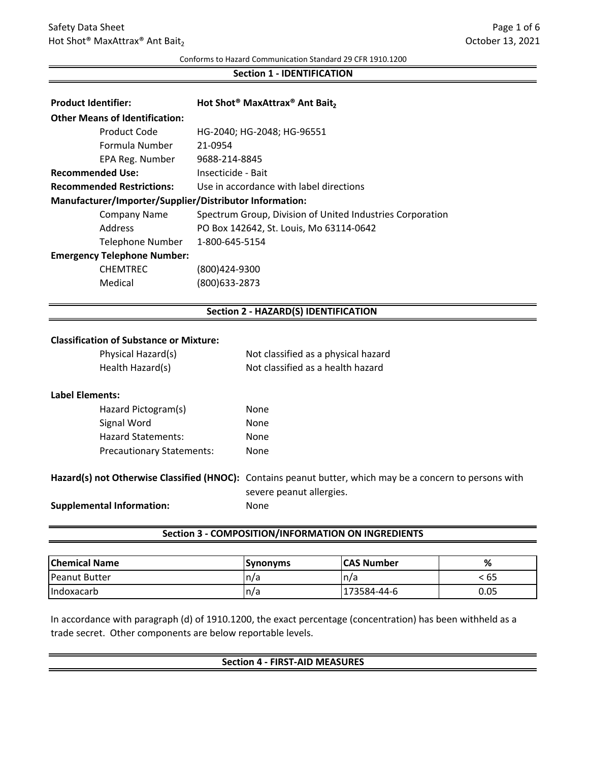Conforms to Hazard Communication Standard 29 CFR 1910.1200

#### **Section 1 ‐ IDENTIFICATION**

| <b>Product Identifier:</b>                              |                         | Hot Shot <sup>®</sup> MaxAttrax <sup>®</sup> Ant Bait,    |
|---------------------------------------------------------|-------------------------|-----------------------------------------------------------|
| <b>Other Means of Identification:</b>                   |                         |                                                           |
|                                                         | Product Code            | HG-2040; HG-2048; HG-96551                                |
|                                                         | Formula Number          | 21-0954                                                   |
|                                                         | EPA Reg. Number         | 9688-214-8845                                             |
| <b>Recommended Use:</b>                                 |                         | Insecticide - Bait                                        |
| <b>Recommended Restrictions:</b>                        |                         | Use in accordance with label directions                   |
| Manufacturer/Importer/Supplier/Distributor Information: |                         |                                                           |
|                                                         | Company Name            | Spectrum Group, Division of United Industries Corporation |
|                                                         | Address                 | PO Box 142642, St. Louis, Mo 63114-0642                   |
|                                                         | <b>Telephone Number</b> | 1-800-645-5154                                            |
| <b>Emergency Telephone Number:</b>                      |                         |                                                           |
|                                                         | <b>CHEMTREC</b>         | (800)424-9300                                             |
|                                                         | Medical                 | (800)633-2873                                             |
|                                                         |                         |                                                           |

# **Section 2 ‐ HAZARD(S) IDENTIFICATION**

### **Classification of Substance or Mixture:**

| Physical Hazard(s) | Not classified as a physical hazard |
|--------------------|-------------------------------------|
| Health Hazard(s)   | Not classified as a health hazard   |

#### **Label Elements:**

| Hazard Pictogram(s)              | None |
|----------------------------------|------|
| Signal Word                      | None |
| <b>Hazard Statements:</b>        | None |
| <b>Precautionary Statements:</b> | None |

# **Hazard(s) not Otherwise Classified (HNOC):** Contains peanut butter, which may be a concern to persons with **Supplemental Information:** None severe peanut allergies.

# **Section 3 ‐ COMPOSITION/INFORMATION ON INGREDIENTS**

| <b>Chemical Name</b>  | <b>ISvnonvms</b> | <b>ICAS Number</b> | %    |
|-----------------------|------------------|--------------------|------|
| <b>IPeanut Butter</b> | 'n/a             | n/a                | : 65 |
| Indoxacarb            | In/a             | '73584-44-6        | 0.05 |

In accordance with paragraph (d) of 1910.1200, the exact percentage (concentration) has been withheld as a trade secret. Other components are below reportable levels.

### **Section 4 ‐ FIRST‐AID MEASURES**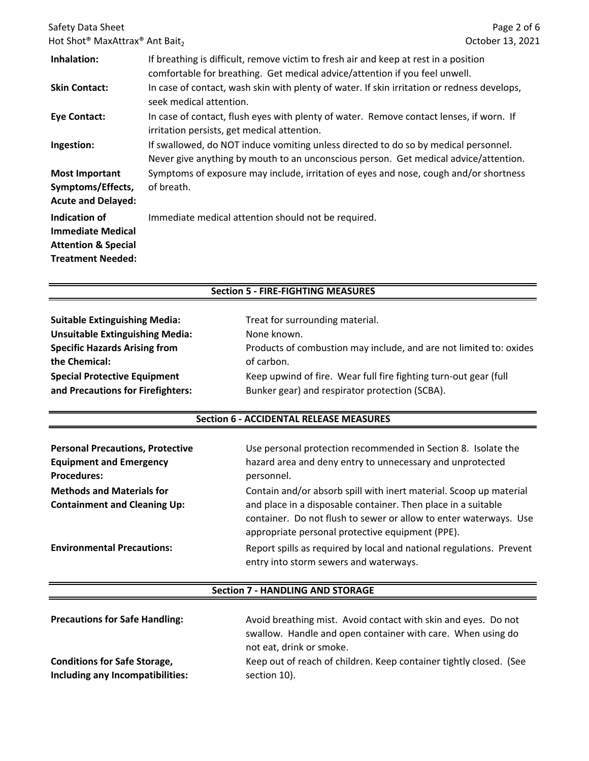| Safety Data Sheet<br>Hot Shot <sup>®</sup> MaxAttrax <sup>®</sup> Ant Bait <sub>2</sub>                 |                                                                                                                                                                             | Page 2 of 6<br>October 13, 2021 |
|---------------------------------------------------------------------------------------------------------|-----------------------------------------------------------------------------------------------------------------------------------------------------------------------------|---------------------------------|
| Inhalation:                                                                                             | If breathing is difficult, remove victim to fresh air and keep at rest in a position<br>comfortable for breathing. Get medical advice/attention if you feel unwell.         |                                 |
| <b>Skin Contact:</b>                                                                                    | In case of contact, wash skin with plenty of water. If skin irritation or redness develops,<br>seek medical attention.                                                      |                                 |
| <b>Eye Contact:</b>                                                                                     | In case of contact, flush eyes with plenty of water. Remove contact lenses, if worn. If<br>irritation persists, get medical attention.                                      |                                 |
| Ingestion:                                                                                              | If swallowed, do NOT induce vomiting unless directed to do so by medical personnel.<br>Never give anything by mouth to an unconscious person. Get medical advice/attention. |                                 |
| <b>Most Important</b><br>Symptoms/Effects,<br><b>Acute and Delayed:</b>                                 | Symptoms of exposure may include, irritation of eyes and nose, cough and/or shortness<br>of breath.                                                                         |                                 |
| Indication of<br><b>Immediate Medical</b><br><b>Attention &amp; Special</b><br><b>Treatment Needed:</b> | Immediate medical attention should not be required.                                                                                                                         |                                 |

# **Section 5 ‐ FIRE‐FIGHTING MEASURES**

| <b>Suitable Extinguishing Media:</b>   | Treat for surrounding material.                                    |
|----------------------------------------|--------------------------------------------------------------------|
| <b>Unsuitable Extinguishing Media:</b> | None known.                                                        |
| <b>Specific Hazards Arising from</b>   | Products of combustion may include, and are not limited to: oxides |
| the Chemical:                          | of carbon.                                                         |
| <b>Special Protective Equipment</b>    | Keep upwind of fire. Wear full fire fighting turn-out gear (full   |
| and Precautions for Firefighters:      | Bunker gear) and respirator protection (SCBA).                     |

# **Section 6 ‐ ACCIDENTAL RELEASE MEASURES**

| <b>Personal Precautions, Protective</b><br><b>Equipment and Emergency</b><br><b>Procedures:</b> | Use personal protection recommended in Section 8. Isolate the<br>hazard area and deny entry to unnecessary and unprotected<br>personnel.                                                                                                                     |
|-------------------------------------------------------------------------------------------------|--------------------------------------------------------------------------------------------------------------------------------------------------------------------------------------------------------------------------------------------------------------|
| <b>Methods and Materials for</b><br><b>Containment and Cleaning Up:</b>                         | Contain and/or absorb spill with inert material. Scoop up material<br>and place in a disposable container. Then place in a suitable<br>container. Do not flush to sewer or allow to enter waterways. Use<br>appropriate personal protective equipment (PPE). |
| <b>Environmental Precautions:</b>                                                               | Report spills as required by local and national regulations. Prevent<br>entry into storm sewers and waterways.                                                                                                                                               |

# **Section 7 ‐ HANDLING AND STORAGE**

| <b>Precautions for Safe Handling:</b> | Avoid breathing mist. Avoid contact with skin and eyes. Do not<br>swallow. Handle and open container with care. When using do<br>not eat, drink or smoke. |
|---------------------------------------|-----------------------------------------------------------------------------------------------------------------------------------------------------------|
| <b>Conditions for Safe Storage,</b>   | Keep out of reach of children. Keep container tightly closed. (See                                                                                        |
| Including any Incompatibilities:      | section 10).                                                                                                                                              |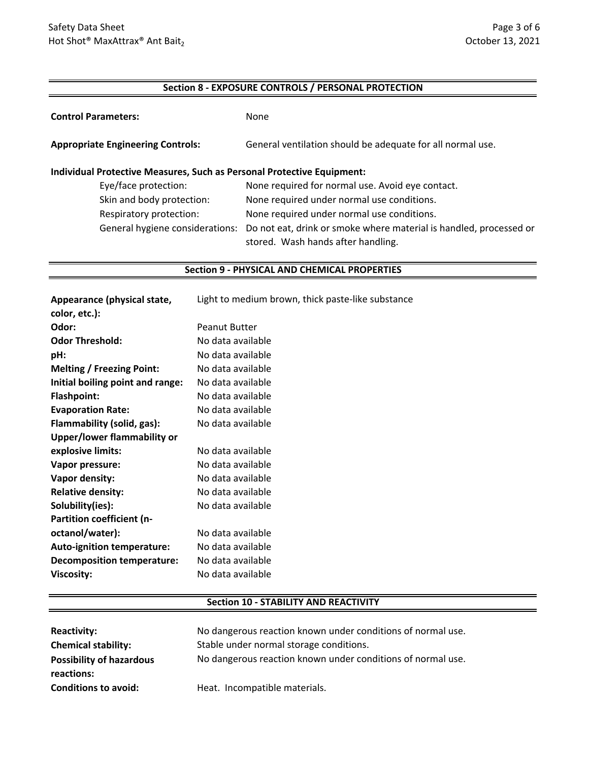## **Section 8 ‐ EXPOSURE CONTROLS / PERSONAL PROTECTION**

| <b>Control Parameters:</b>                                             | None                                                                                                     |  |  |
|------------------------------------------------------------------------|----------------------------------------------------------------------------------------------------------|--|--|
| <b>Appropriate Engineering Controls:</b>                               | General ventilation should be adequate for all normal use.                                               |  |  |
| Individual Protective Measures, Such as Personal Protective Equipment: |                                                                                                          |  |  |
| Eye/face protection:                                                   | None required for normal use. Avoid eye contact.                                                         |  |  |
| Skin and body protection:                                              | None required under normal use conditions.                                                               |  |  |
| Respiratory protection:                                                | None required under normal use conditions.                                                               |  |  |
| General hygiene considerations:                                        | Do not eat, drink or smoke where material is handled, processed or<br>stored. Wash hands after handling. |  |  |

#### **Section 9 ‐ PHYSICAL AND CHEMICAL PROPERTIES**

| Appearance (physical state,        | Light to medium brown, thick paste-like substance |
|------------------------------------|---------------------------------------------------|
| color, etc.):                      |                                                   |
| Odor:                              | <b>Peanut Butter</b>                              |
| <b>Odor Threshold:</b>             | No data available                                 |
| pH:                                | No data available                                 |
| <b>Melting / Freezing Point:</b>   | No data available                                 |
| Initial boiling point and range:   | No data available                                 |
| <b>Flashpoint:</b>                 | No data available                                 |
| <b>Evaporation Rate:</b>           | No data available                                 |
| Flammability (solid, gas):         | No data available                                 |
| <b>Upper/lower flammability or</b> |                                                   |
| explosive limits:                  | No data available                                 |
| Vapor pressure:                    | No data available                                 |
| Vapor density:                     | No data available                                 |
| <b>Relative density:</b>           | No data available                                 |
| Solubility(ies):                   | No data available                                 |
| Partition coefficient (n-          |                                                   |
| octanol/water):                    | No data available                                 |
| <b>Auto-ignition temperature:</b>  | No data available                                 |
| <b>Decomposition temperature:</b>  | No data available                                 |
| Viscosity:                         | No data available                                 |

# **Section 10 ‐ STABILITY AND REACTIVITY**

| <b>Reactivity:</b>              | No dangerous reaction known under conditions of normal use. |
|---------------------------------|-------------------------------------------------------------|
| <b>Chemical stability:</b>      | Stable under normal storage conditions.                     |
| <b>Possibility of hazardous</b> | No dangerous reaction known under conditions of normal use. |
| reactions:                      |                                                             |
| <b>Conditions to avoid:</b>     | Heat. Incompatible materials.                               |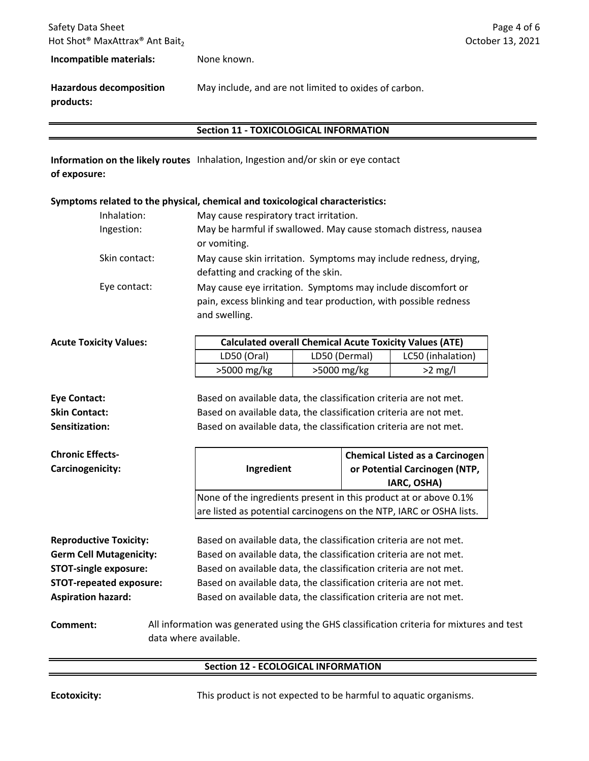**Incompatible materials:** None known.

**Hazardous decomposition products:** May include, and are not limited to oxides of carbon.

# **Section 11 ‐ TOXICOLOGICAL INFORMATION**

**Information on the likely routes** Inhalation, Ingestion and/or skin or eye contact **of exposure:**

## **Symptoms related to the physical, chemical and toxicological characteristics:**

| Inhalation:<br>Ingestion: | May cause respiratory tract irritation.<br>May be harmful if swallowed. May cause stomach distress, nausea<br>or vomiting.                        |
|---------------------------|---------------------------------------------------------------------------------------------------------------------------------------------------|
| Skin contact:             | May cause skin irritation. Symptoms may include redness, drying,<br>defatting and cracking of the skin.                                           |
| Eye contact:              | May cause eye irritation. Symptoms may include discomfort or<br>pain, excess blinking and tear production, with possible redness<br>and swelling. |

| <b>Acute Toxicity Values:</b> | <b>Calculated overall Chemical Acute Toxicity Values (ATE)</b> |               |                   |  |
|-------------------------------|----------------------------------------------------------------|---------------|-------------------|--|
|                               | LD50 (Oral)                                                    | LD50 (Dermal) | LC50 (inhalation) |  |
|                               | $>5000$ mg/kg                                                  | $>5000$ mg/kg | $>2$ mg/l         |  |
|                               |                                                                |               |                   |  |

**Sensitization:** Based on available data, the classification criteria are not met. **Eye Contact:** Based on available data, the classification criteria are not met. **Skin Contact:** Based on available data, the classification criteria are not met.

| <b>Chronic Effects-</b><br>Carcinogenicity: | Ingredient                                                                                                         |                                                                                                                                         | <b>Chemical Listed as a Carcinogen</b><br>or Potential Carcinogen (NTP,<br>IARC, OSHA) |  |  |
|---------------------------------------------|--------------------------------------------------------------------------------------------------------------------|-----------------------------------------------------------------------------------------------------------------------------------------|----------------------------------------------------------------------------------------|--|--|
|                                             |                                                                                                                    | None of the ingredients present in this product at or above 0.1%<br>are listed as potential carcinogens on the NTP, IARC or OSHA lists. |                                                                                        |  |  |
|                                             |                                                                                                                    |                                                                                                                                         |                                                                                        |  |  |
|                                             |                                                                                                                    |                                                                                                                                         |                                                                                        |  |  |
| <b>Reproductive Toxicity:</b>               |                                                                                                                    | Based on available data, the classification criteria are not met.                                                                       |                                                                                        |  |  |
| <b>Germ Cell Mutagenicity:</b>              |                                                                                                                    | Based on available data, the classification criteria are not met.                                                                       |                                                                                        |  |  |
| <b>STOT-single exposure:</b>                |                                                                                                                    | Based on available data, the classification criteria are not met.                                                                       |                                                                                        |  |  |
| <b>STOT-repeated exposure:</b>              |                                                                                                                    | Based on available data, the classification criteria are not met.                                                                       |                                                                                        |  |  |
| <b>Aspiration hazard:</b>                   |                                                                                                                    |                                                                                                                                         | Based on available data, the classification criteria are not met.                      |  |  |
| Comment:                                    | All information was generated using the GHS classification criteria for mixtures and test<br>data where available. |                                                                                                                                         |                                                                                        |  |  |

# **Section 12 ‐ ECOLOGICAL INFORMATION**

**Ecotoxicity:** This product is not expected to be harmful to aquatic organisms.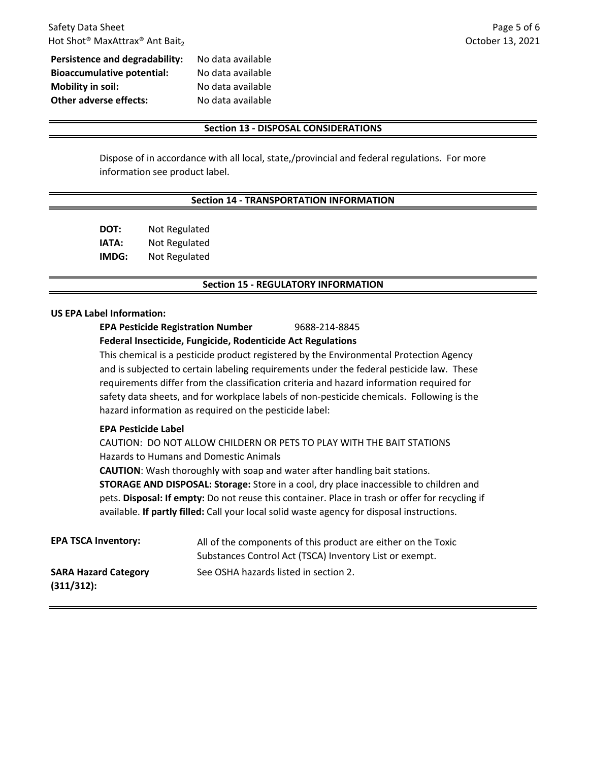| <b>Persistence and degradability:</b> | No data available |
|---------------------------------------|-------------------|
| <b>Bioaccumulative potential:</b>     | No data available |
| <b>Mobility in soil:</b>              | No data available |
| Other adverse effects:                | No data available |
|                                       |                   |

### **Section 13 ‐ DISPOSAL CONSIDERATIONS**

Dispose of in accordance with all local, state,/provincial and federal regulations. For more information see product label.

### **Section 14 ‐ TRANSPORTATION INFORMATION**

**DOT:** Not Regulated **IATA:** Not Regulated **IMDG:** Not Regulated

## **Section 15 ‐ REGULATORY INFORMATION**

# **US EPA Label Information:**

**EPA Pesticide Registration Number** 9688‐214‐8845 **Federal Insecticide, Fungicide, Rodenticide Act Regulations**

This chemical is a pesticide product registered by the Environmental Protection Agency and is subjected to certain labeling requirements under the federal pesticide law. These requirements differ from the classification criteria and hazard information required for safety data sheets, and for workplace labels of non-pesticide chemicals. Following is the hazard information as required on the pesticide label:

## **EPA Pesticide Label**

CAUTION: DO NOT ALLOW CHILDERN OR PETS TO PLAY WITH THE BAIT STATIONS Hazards to Humans and Domestic Animals

**STORAGE AND DISPOSAL: Storage:** Store in a cool, dry place inaccessible to children and pets. **Disposal: If empty:** Do not reuse this container. Place in trash or offer for recycling if available. **If partly filled:** Call your local solid waste agency for disposal instructions. **CAUTION**: Wash thoroughly with soap and water after handling bait stations.

| <b>EPA TSCA Inventory:</b>                   | All of the components of this product are either on the Toxic<br>Substances Control Act (TSCA) Inventory List or exempt. |
|----------------------------------------------|--------------------------------------------------------------------------------------------------------------------------|
| <b>SARA Hazard Category</b><br>$(311/312)$ : | See OSHA hazards listed in section 2.                                                                                    |